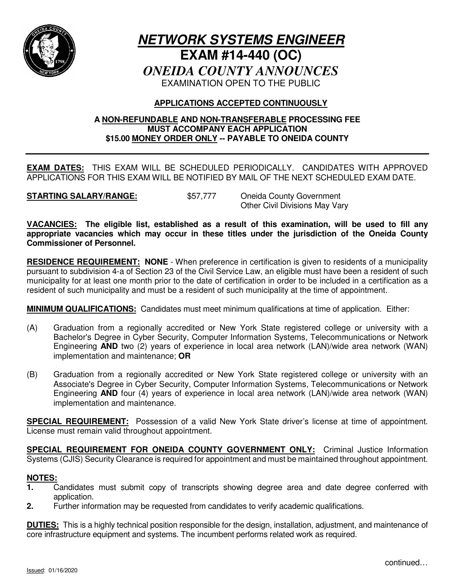

# **NETWORK SYSTEMS ENGINEER EXAM #14-440 (OC)** *ONEIDA COUNTY ANNOUNCES* EXAMINATION OPEN TO THE PUBLIC

# **APPLICATIONS ACCEPTED CONTINUOUSLY**

### **A NON-REFUNDABLE AND NON-TRANSFERABLE PROCESSING FEE MUST ACCOMPANY EACH APPLICATION \$15.00 MONEY ORDER ONLY -- PAYABLE TO ONEIDA COUNTY**

**EXAM DATES:** THIS EXAM WILL BE SCHEDULED PERIODICALLY. CANDIDATES WITH APPROVED APPLICATIONS FOR THIS EXAM WILL BE NOTIFIED BY MAIL OF THE NEXT SCHEDULED EXAM DATE.

**STARTING SALARY/RANGE:** \$57,777 Oneida County Government Other Civil Divisions May Vary

**VACANCIES: The eligible list, established as a result of this examination, will be used to fill any appropriate vacancies which may occur in these titles under the jurisdiction of the Oneida County Commissioner of Personnel.**

**RESIDENCE REQUIREMENT: NONE** - When preference in certification is given to residents of a municipality pursuant to subdivision 4-a of Section 23 of the Civil Service Law, an eligible must have been a resident of such municipality for at least one month prior to the date of certification in order to be included in a certification as a resident of such municipality and must be a resident of such municipality at the time of appointment.

**MINIMUM QUALIFICATIONS:** Candidates must meet minimum qualifications at time of application.Either:

- (A) Graduation from a regionally accredited or New York State registered college or university with a Bachelor's Degree in Cyber Security, Computer Information Systems, Telecommunications or Network Engineering **AND** two (2) years of experience in local area network (LAN)/wide area network (WAN) implementation and maintenance; **OR**
- (B) Graduation from a regionally accredited or New York State registered college or university with an Associate's Degree in Cyber Security, Computer Information Systems, Telecommunications or Network Engineering **AND** four (4) years of experience in local area network (LAN)/wide area network (WAN) implementation and maintenance.

**SPECIAL REQUIREMENT:** Possession of a valid New York State driver's license at time of appointment. License must remain valid throughout appointment.

**SPECIAL REQUIREMENT FOR ONEIDA COUNTY GOVERNMENT ONLY:** Criminal Justice Information Systems (CJIS) Security Clearance is required for appointment and must be maintained throughout appointment.

## **NOTES:**

- **1.** Candidates must submit copy of transcripts showing degree area and date degree conferred with application.
- **2.** Further information may be requested from candidates to verify academic qualifications.

**DUTIES:** This is a highly technical position responsible for the design, installation, adjustment, and maintenance of core infrastructure equipment and systems. The incumbent performs related work as required.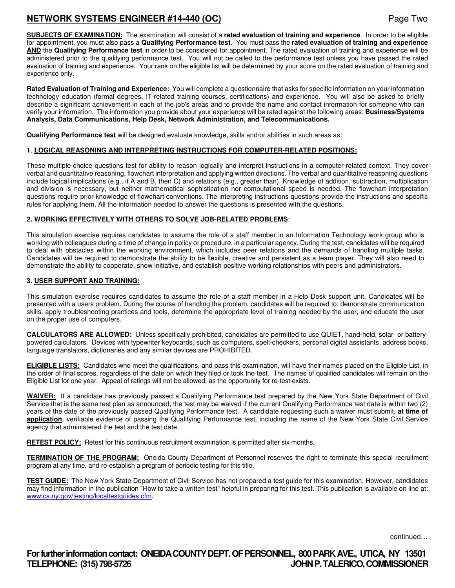# **NETWORK SYSTEMS ENGINEER #14-440 (OC)** Page Two

**SUBJECTS OF EXAMINATION:** The examination will consist of a **rated evaluation of training and experience**. In order to be eligible for appointment, you must also pass a **Qualifying Performance test**. You must pass the **rated evaluation of training and experience AND** the **Qualifying Performance test** in order to be considered for appointment. The rated evaluation of training and experience will be administered prior to the qualifying performance test. You will not be called to the performance test unless you have passed the rated evaluation of training and experience. Your rank on the eligible list will be determined by your score on the rated evaluation of training and experience only.

**Rated Evaluation of Training and Experience:** You will complete a questionnaire that asks for specific information on your information technology education (formal degrees, IT-related training courses, certifications) and experience. You will also be asked to briefly describe a significant achievement in each of the job's areas and to provide the name and contact information for someone who can verify your information. The information you provide about your experience will be rated against the following areas: **Business/Systems Analysis, Data Communications, Help Desk, Network Administration, and Telecommunications.** 

**Qualifying Performance test** will be designed evaluate knowledge, skills and/or abilities in such areas as:

#### **1**. **LOGICAL REASONING AND INTERPRETING INSTRUCTIONS FOR COMPUTER-RELATED POSITIONS:**

These multiple-choice questions test for ability to reason logically and interpret instructions in a computer-related context. They cover verbal and quantitative reasoning, flowchart interpretation and applying written directions. The verbal and quantitative reasoning questions include logical implications (e.g., if A and B, then C) and relations (e.g., greater than). Knowledge of addition, subtraction, multiplication and division is necessary, but neither mathematical sophistication nor computational speed is needed. The flowchart interpretation questions require prior knowledge of flowchart conventions. The interpreting instructions questions provide the instructions and specific rules for applying them. All the information needed to answer the questions is presented with the questions.

#### **2. WORKING EFFECTIVELY WITH OTHERS TO SOLVE JOB-RELATED PROBLEMS**:

This simulation exercise requires candidates to assume the role of a staff member in an Information Technology work group who is working with colleagues during a time of change in policy or procedure, in a particular agency. During the test, candidates will be required to deal with obstacles within the working environment, which includes peer relations and the demands of handling multiple tasks. Candidates will be required to demonstrate the ability to be flexible, creative and persistent as a team player. They will also need to demonstrate the ability to cooperate, show initiative, and establish positive working relationships with peers and administrators.

#### **3. USER SUPPORT AND TRAINING:**

This simulation exercise requires candidates to assume the role of a staff member in a Help Desk support unit. Candidates will be presented with a users problem. During the course of handling the problem, candidates will be required to: demonstrate communication skills, apply troubleshooting practices and tools, determine the appropriate level of training needed by the user, and educate the user on the proper use of computers.

**CALCULATORS ARE ALLOWED:** Unless specifically prohibited, candidates are permitted to use QUIET, hand-held, solar- or batterypowered calculators. Devices with typewriter keyboards, such as computers, spell-checkers, personal digital assistants, address books, language translators, dictionaries and any similar devices are PROHIBITED.

**ELIGIBLE LISTS:** Candidates who meet the qualifications, and pass this examination, will have their names placed on the Eligible List, in the order of final scores, regardless of the date on which they filed or took the test. The names of qualified candidates will remain on the Eligible List for one year. Appeal of ratings will not be allowed, as the opportunity for re-test exists.

**WAIVER:** If a candidate has previously passed a Qualifying Performance test prepared by the New York State Department of Civil Service that is the same test plan as announced, the test may be waived if the current Qualifying Performance test date is within two (2) years of the date of the previously passed Qualifying Performance test. A candidate requesting such a waiver must submit, **at time of application**, verifiable evidence of passing the Qualifying Performance test, including the name of the New York State Civil Service agency that administered the test and the test date.

**RETEST POLICY:** Retest for this continuous recruitment examination is permitted after six months.

**TERMINATION OF THE PROGRAM:** Oneida County Department of Personnel reserves the right to terminate this special recruitment program at any time, and re-establish a program of periodic testing for this title.

**TEST GUIDE:** The New York State Department of Civil Service has not prepared a test guide for this examination. However, candidates may find information in the publication "How to take a written test" helpful in preparing for this test. This publication is available on line at: www.cs.ny.gov/testing/localtestguides.cfm.

continued…